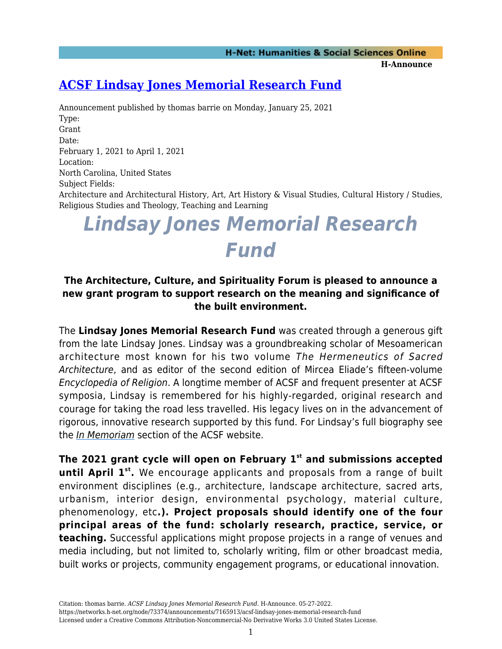**H-Announce** 

## **[ACSF Lindsay Jones Memorial Research Fund](https://networks.h-net.org/node/73374/announcements/7165913/acsf-lindsay-jones-memorial-research-fund)**

Announcement published by thomas barrie on Monday, January 25, 2021 Type: Grant Date: February 1, 2021 to April 1, 2021 Location: North Carolina, United States Subject Fields: Architecture and Architectural History, Art, Art History & Visual Studies, Cultural History / Studies, Religious Studies and Theology, Teaching and Learning

# *Lindsay Jones Memorial Research Fund*

### **The Architecture, Culture, and Spirituality Forum is pleased to announce a new grant program to support research on the meaning and significance of the built environment.**

The **Lindsay Jones Memorial Research Fund** was created through a generous gift from the late Lindsay Jones. Lindsay was a groundbreaking scholar of Mesoamerican architecture most known for his two volume The Hermeneutics of Sacred Architecture, and as editor of the second edition of Mircea Eliade's fifteen-volume Encyclopedia of Religion. A longtime member of ACSF and frequent presenter at ACSF symposia, Lindsay is remembered for his highly-regarded, original research and courage for taking the road less travelled. His legacy lives on in the advancement of rigorous, innovative research supported by this fund. For Lindsay's full biography see the [In Memoriam](http://www.acsforum.org/in-memoriam/) section of the ACSF website.

**The 2021 grant cycle will open on February 1st and submissions accepted** until April 1<sup>st</sup>. We encourage applicants and proposals from a range of built environment disciplines (e.g., architecture, landscape architecture, sacred arts, urbanism, interior design, environmental psychology, material culture, phenomenology, etc**.). Project proposals should identify one of the four principal areas of the fund: scholarly research, practice, service, or teaching.** Successful applications might propose projects in a range of venues and media including, but not limited to, scholarly writing, film or other broadcast media, built works or projects, community engagement programs, or educational innovation.